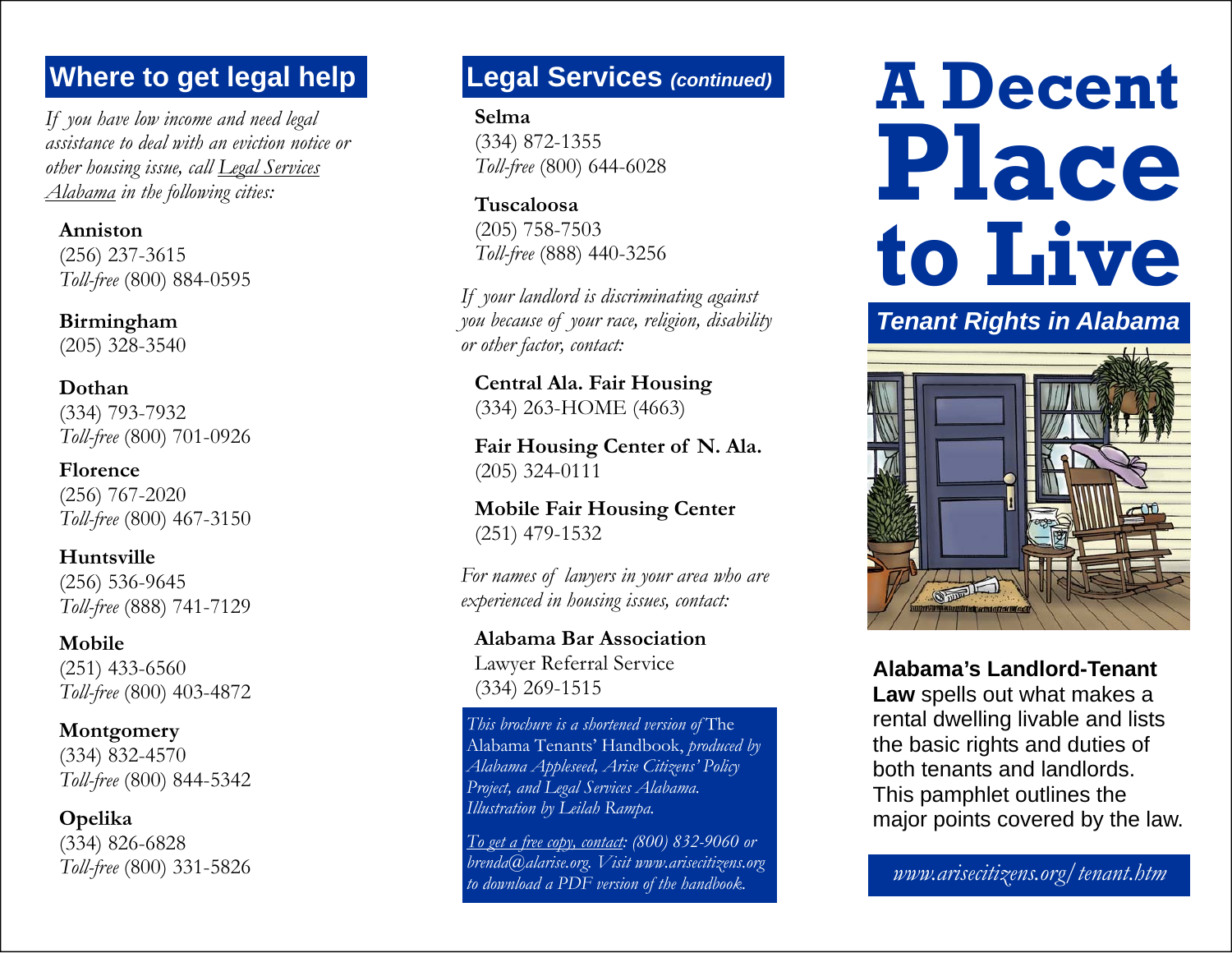# **Where to get legal help Legal Services** *(continued)*

*If you have low income and need legal assistance to deal with an eviction notice or other housing issue, call Legal Services Alabama in the following cities:* 

**Anniston**(256) 237-3615 *Toll-free* (800) 884-0595

**Birmingham** (205) 328-3540

**Dothan**(334) 793-7932 *Toll-free* (800) 701-0926

**Florence**(256) 767-2020 *Toll-free* (800) 467-3150

**Huntsville**(256) 536-9645 *Toll-free* (888) 741-7129

**Mobile**(251) 433-6560 *Toll-free* (800) 403-4872

**Montgomery** (334) 832-4570 *Toll-free* (800) 844-5342

**Opelika** (334) 826-6828 *Toll-free* (800) 331-5826

**Selma**(334) 872-1355 *Toll-free* (800) 644-6028

**Tuscaloosa**(205) 758-7503 *Toll-free* (888) 440-3256

*If your landlord is discriminating against you because of your race, religion, disability or other factor, contact:* 

**Central Ala. Fair Housing**  (334) 263-HOME (4663)

**Fair Housing Center of N. Ala.**  (205) 324-0111

**Mobile Fair Housing Center**  (251) 479-1532

*For names of lawyers in your area who are experienced in housing issues, contact:* 

**Alabama Bar Association** Lawyer Referral Service (334) 269-1515

*This brochure is a shortened version of* The Alabama Tenants' Handbook, *produced by Alabama Appleseed, Arise Citizens' Policy Project, and Legal Services Alabama. Illustration by Leilah Rampa.* 

*To get a free copy, contact: (800) 832-9060 or brenda@alarise.org. Visit www.arisecitizens.org to download a PDF version of the handbook. www.arisecitizens.org/tenant.htm* 

# **A Decent Place to Live**

## *Tenant Rights in Alabama*



**Alabama's Landlord-Tenant** 

**Law** spells out what makes a rental dwelling livable and lists the basic rights and duties of both tenants and landlords. This pamphlet outlines the major points covered by the law.